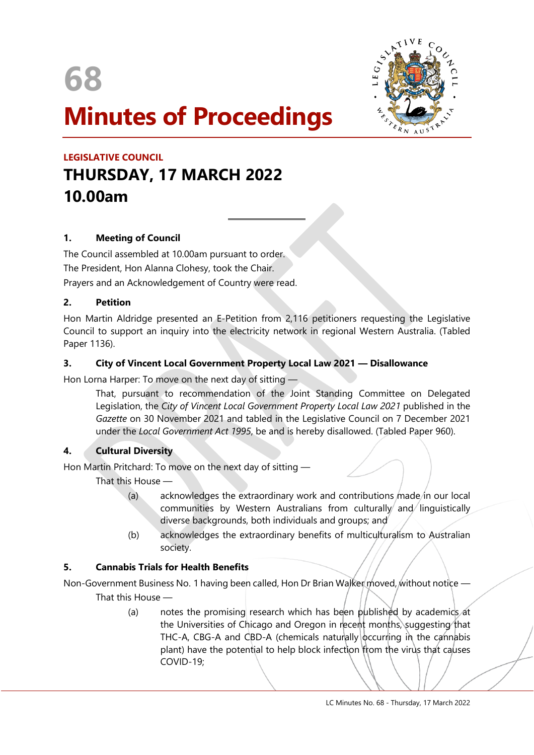

# **Minutes of Proceedings**



# **LEGISLATIVE COUNCIL THURSDAY, 17 MARCH 2022 10.00am**

# **1. Meeting of Council**

The Council assembled at 10.00am pursuant to order. The President, Hon Alanna Clohesy, took the Chair. Prayers and an Acknowledgement of Country were read.

#### **2. Petition**

Hon Martin Aldridge presented an E-Petition from 2,116 petitioners requesting the Legislative Council to support an inquiry into the electricity network in regional Western Australia. (Tabled Paper 1136).

#### **3. City of Vincent Local Government Property Local Law 2021 — Disallowance**

 $\overline{a}$ 

Hon Lorna Harper: To move on the next day of sitting —

That, pursuant to recommendation of the Joint Standing Committee on Delegated Legislation, the *City of Vincent Local Government Property Local Law 2021* published in the *Gazette* on 30 November 2021 and tabled in the Legislative Council on 7 December 2021 under the *Local Government Act 1995*, be and is hereby disallowed. (Tabled Paper 960).

#### **4. Cultural Diversity**

Hon Martin Pritchard: To move on the next day of sitting —

That this House —

- (a) acknowledges the extraordinary work and contributions made in our local communities by Western Australians from culturally and linguistically diverse backgrounds, both individuals and groups; and
- (b) acknowledges the extraordinary benefits of multiculturalism to Australian society.

#### **5. Cannabis Trials for Health Benefits**

Non-Government Business No. 1 having been called, Hon Dr Brian Walker moved, without notice — That this House —

> (a) notes the promising research which has been published by academics at the Universities of Chicago and Oregon in recent months, suggesting that THC-A, CBG-A and CBD-A (chemicals naturally  $\alpha$  in the cannabis plant) have the potential to help block infection from the virus that causes COVID-19;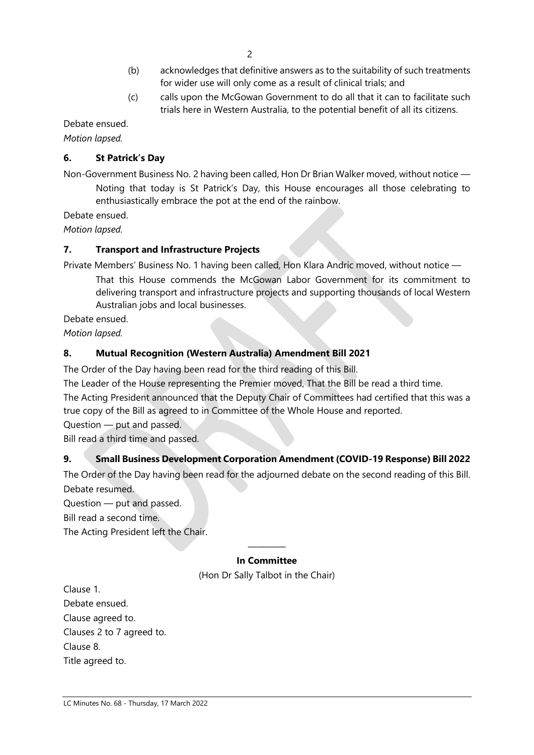- (b) acknowledges that definitive answers as to the suitability of such treatments for wider use will only come as a result of clinical trials; and
- (c) calls upon the McGowan Government to do all that it can to facilitate such trials here in Western Australia, to the potential benefit of all its citizens.

Debate ensued.

*Motion lapsed.*

# **6. St Patrick's Day**

Non-Government Business No. 2 having been called, Hon Dr Brian Walker moved, without notice — Noting that today is St Patrick's Day, this House encourages all those celebrating to enthusiastically embrace the pot at the end of the rainbow.

Debate ensued.

*Motion lapsed.*

# **7. Transport and Infrastructure Projects**

Private Members' Business No. 1 having been called, Hon Klara Andric moved, without notice — That this House commends the McGowan Labor Government for its commitment to delivering transport and infrastructure projects and supporting thousands of local Western Australian jobs and local businesses.

Debate ensued.

*Motion lapsed.*

# **8. Mutual Recognition (Western Australia) Amendment Bill 2021**

The Order of the Day having been read for the third reading of this Bill.

The Leader of the House representing the Premier moved, That the Bill be read a third time.

The Acting President announced that the Deputy Chair of Committees had certified that this was a true copy of the Bill as agreed to in Committee of the Whole House and reported.

Question — put and passed.

Bill read a third time and passed.

# **9. Small Business Development Corporation Amendment (COVID-19 Response) Bill 2022**

The Order of the Day having been read for the adjourned debate on the second reading of this Bill. Debate resumed.

Question — put and passed.

Bill read a second time.

The Acting President left the Chair.

#### ———— **In Committee**

(Hon Dr Sally Talbot in the Chair)

Clause 1. Debate ensued. Clause agreed to. Clauses 2 to 7 agreed to. Clause 8. Title agreed to.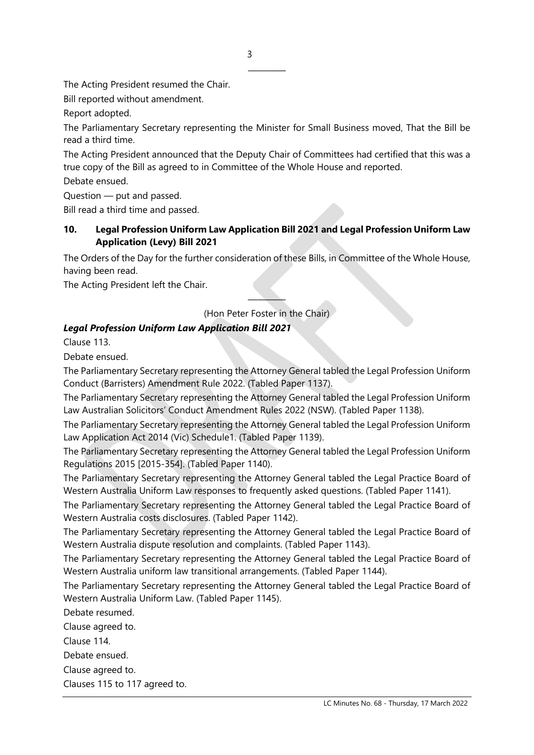The Acting President resumed the Chair.

Bill reported without amendment.

Report adopted.

The Parliamentary Secretary representing the Minister for Small Business moved, That the Bill be read a third time.

————

The Acting President announced that the Deputy Chair of Committees had certified that this was a true copy of the Bill as agreed to in Committee of the Whole House and reported.

Debate ensued.

Question — put and passed.

Bill read a third time and passed.

#### **10. Legal Profession Uniform Law Application Bill 2021 and Legal Profession Uniform Law Application (Levy) Bill 2021**

The Orders of the Day for the further consideration of these Bills, in Committee of the Whole House, having been read.

The Acting President left the Chair.

———— (Hon Peter Foster in the Chair)

#### *Legal Profession Uniform Law Application Bill 2021*

Clause 113.

Debate ensued.

The Parliamentary Secretary representing the Attorney General tabled the Legal Profession Uniform Conduct (Barristers) Amendment Rule 2022. (Tabled Paper 1137).

The Parliamentary Secretary representing the Attorney General tabled the Legal Profession Uniform Law Australian Solicitors' Conduct Amendment Rules 2022 (NSW). (Tabled Paper 1138).

The Parliamentary Secretary representing the Attorney General tabled the Legal Profession Uniform Law Application Act 2014 (Vic) Schedule1. (Tabled Paper 1139).

The Parliamentary Secretary representing the Attorney General tabled the Legal Profession Uniform Regulations 2015 [2015-354]. (Tabled Paper 1140).

The Parliamentary Secretary representing the Attorney General tabled the Legal Practice Board of Western Australia Uniform Law responses to frequently asked questions. (Tabled Paper 1141).

The Parliamentary Secretary representing the Attorney General tabled the Legal Practice Board of Western Australia costs disclosures. (Tabled Paper 1142).

The Parliamentary Secretary representing the Attorney General tabled the Legal Practice Board of Western Australia dispute resolution and complaints. (Tabled Paper 1143).

The Parliamentary Secretary representing the Attorney General tabled the Legal Practice Board of Western Australia uniform law transitional arrangements. (Tabled Paper 1144).

The Parliamentary Secretary representing the Attorney General tabled the Legal Practice Board of Western Australia Uniform Law. (Tabled Paper 1145).

Debate resumed.

Clause agreed to.

Clause 114.

Debate ensued.

Clause agreed to.

Clauses 115 to 117 agreed to.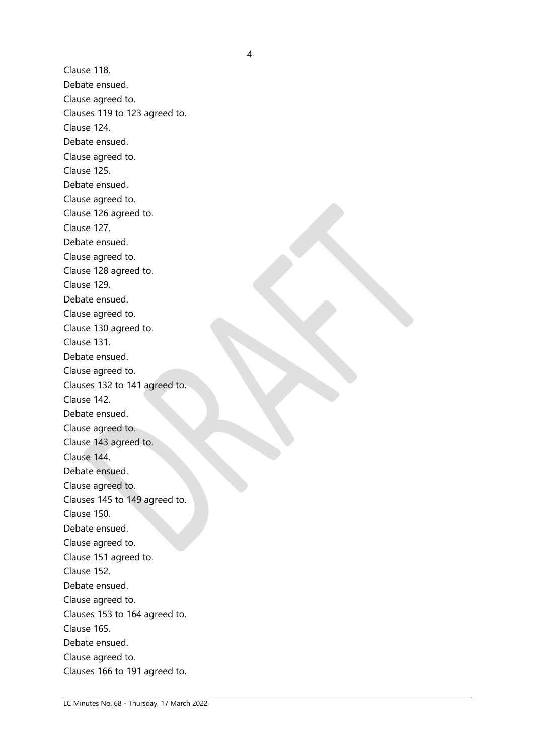Clause 118. Debate ensued. Clause agreed to. Clauses 119 to 123 agreed to. Clause 124. Debate ensued. Clause agreed to. Clause 125. Debate ensued. Clause agreed to. Clause 126 agreed to. Clause 127. Debate ensued. Clause agreed to. Clause 128 agreed to. Clause 129. Debate ensued. Clause agreed to. Clause 130 agreed to. Clause 131. Debate ensued. Clause agreed to. Clauses 132 to 141 agreed to. Clause 142. Debate ensued. Clause agreed to. Clause 143 agreed to. Clause 144. Debate ensued. Clause agreed to. Clauses 145 to 149 agreed to. Clause 150. Debate ensued. Clause agreed to. Clause 151 agreed to. Clause 152. Debate ensued. Clause agreed to. Clauses 153 to 164 agreed to. Clause 165. Debate ensued. Clause agreed to. Clauses 166 to 191 agreed to.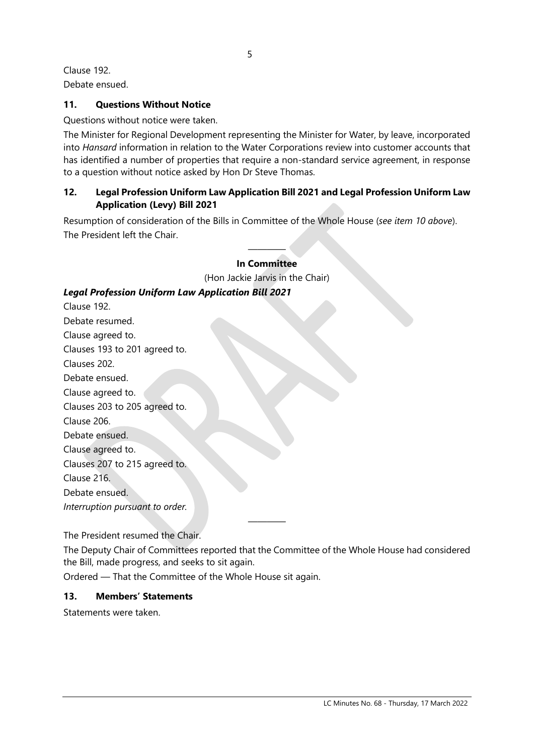5

Clause 192.

Debate ensued.

### **11. Questions Without Notice**

Questions without notice were taken.

The Minister for Regional Development representing the Minister for Water, by leave, incorporated into *Hansard* information in relation to the Water Corporations review into customer accounts that has identified a number of properties that require a non-standard service agreement, in response to a question without notice asked by Hon Dr Steve Thomas.

#### **12. Legal Profession Uniform Law Application Bill 2021 and Legal Profession Uniform Law Application (Levy) Bill 2021**

Resumption of consideration of the Bills in Committee of the Whole House (*see item 10 above*). The President left the Chair.

#### ———— **In Committee**

(Hon Jackie Jarvis in the Chair)

# *Legal Profession Uniform Law Application Bill 2021*

Clause 192. Debate resumed. Clause agreed to. Clauses 193 to 201 agreed to. Clauses 202. Debate ensued. Clause agreed to. Clauses 203 to 205 agreed to. Clause 206. Debate ensued. Clause agreed to. Clauses 207 to 215 agreed to. Clause 216. Debate ensued. *Interruption pursuant to order.*

The President resumed the Chair.

The Deputy Chair of Committees reported that the Committee of the Whole House had considered the Bill, made progress, and seeks to sit again.

————

Ordered — That the Committee of the Whole House sit again.

#### **13. Members' Statements**

Statements were taken.